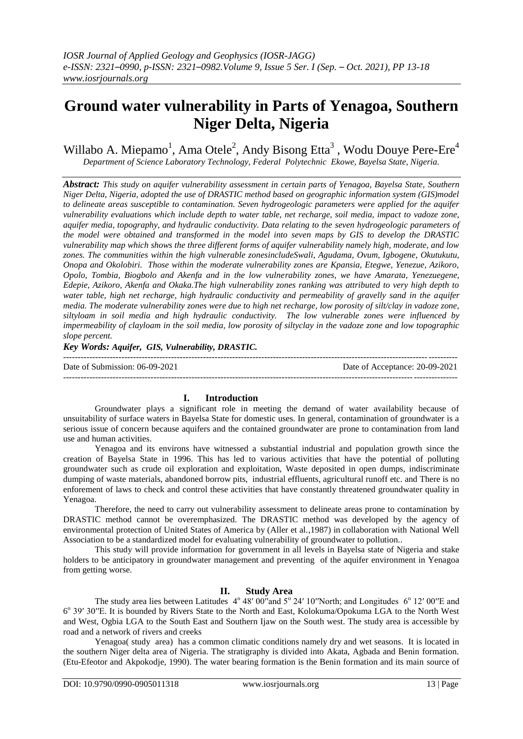# **Ground water vulnerability in Parts of Yenagoa, Southern Niger Delta, Nigeria**

Willabo A. Miepamo<sup>1</sup>, Ama Otele<sup>2</sup>, Andy Bisong Etta<sup>3</sup>, Wodu Douye Pere-Ere<sup>4</sup> *Department of Science Laboratory Technology, Federal Polytechnic Ekowe, Bayelsa State, Nigeria.*

*Abstract: This study on aquifer vulnerability assessment in certain parts of Yenagoa, Bayelsa State, Southern Niger Delta, Nigeria, adopted the use of DRASTIC method based on geographic information system (GIS)model to delineate areas susceptible to contamination. Seven hydrogeologic parameters were applied for the aquifer vulnerability evaluations which include depth to water table, net recharge, soil media, impact to vadoze zone, aquifer media, topography, and hydraulic conductivity. Data relating to the seven hydrogeologic parameters of the model were obtained and transformed in the model into seven maps by GIS to develop the DRASTIC vulnerability map which shows the three different forms of aquifer vulnerability namely high, moderate, and low zones. The communities within the high vulnerable zonesincludeSwali, Agudama, Ovum, Igbogene, Okutukutu, Onopa and Okolobiri. Those within the moderate vulnerability zones are Kpansia, Etegwe, Yenezue, Azikoro, Opolo, Tombia, Biogbolo and Akenfa and in the low vulnerability zones, we have Amarata, Yenezuegene, Edepie, Azikoro, Akenfa and Okaka.The high vulnerability zones ranking was attributed to very high depth to water table, high net recharge, high hydraulic conductivity and permeability of gravelly sand in the aquifer media. The moderate vulnerability zones were due to high net recharge, low porosity of silt/clay in vadoze zone, siltyloam in soil media and high hydraulic conductivity. The low vulnerable zones were influenced by impermeability of clayloam in the soil media, low porosity of siltyclay in the vadoze zone and low topographic slope percent.*

#### *Key Words: Aquifer, GIS, Vulnerability, DRASTIC.*

--------------------------------------------------------------------------------------------------------------------------------------- Date of Submission: 06-09-2021 Date of Acceptance: 20-09-2021 ---------------------------------------------------------------------------------------------------------------------------------------

#### **I. Introduction**

Groundwater plays a significant role in meeting the demand of water availability because of unsuitability of surface waters in Bayelsa State for domestic uses. In general, contamination of groundwater is a serious issue of concern because aquifers and the contained groundwater are prone to contamination from land use and human activities.

Yenagoa and its environs have witnessed a substantial industrial and population growth since the creation of Bayelsa State in 1996. This has led to various activities that have the potential of polluting groundwater such as crude oil exploration and exploitation, Waste deposited in open dumps, indiscriminate dumping of waste materials, abandoned borrow pits, industrial effluents, agricultural runoff etc. and There is no enforement of laws to check and control these activities that have constantly threatened groundwater quality in Yenagoa.

Therefore, the need to carry out vulnerability assessment to delineate areas prone to contamination by DRASTIC method cannot be overemphasized. The DRASTIC method was developed by the agency of environmental protection of United States of America by (Aller et al.,1987) in collaboration with National Well Association to be a standardized model for evaluating vulnerability of groundwater to pollution..

This study will provide information for government in all levels in Bayelsa state of Nigeria and stake holders to be anticipatory in groundwater management and preventing of the aquifer environment in Yenagoa from getting worse.

#### **II. Study Area**

The study area lies between Latitudes  $4^{\circ}$  48' 00" and  $5^{\circ}$  24' 10" North; and Longitudes  $6^{\circ}$  12' 00" E and 6° 39' 30"E. It is bounded by Rivers State to the North and East, Kolokuma/Opokuma LGA to the North West and West, Ogbia LGA to the South East and Southern Ijaw on the South west. The study area is accessible by road and a network of rivers and creeks

Yenagoa( study area) has a common climatic conditions namely dry and wet seasons. It is located in the southern Niger delta area of Nigeria. The stratigraphy is divided into Akata, Agbada and Benin formation. (Etu-Efeotor and Akpokodje, 1990). The water bearing formation is the Benin formation and its main source of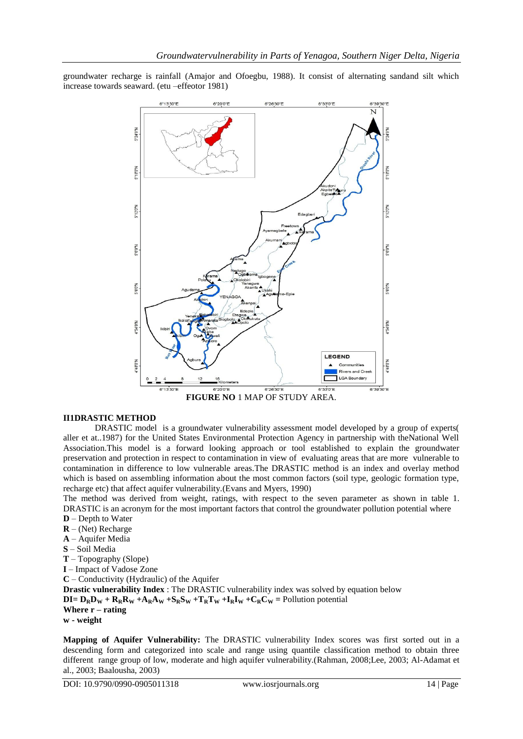groundwater recharge is rainfall (Amajor and Ofoegbu, 1988). It consist of alternating sandand silt which increase towards seaward. (etu –effeotor 1981)



#### **II1DRASTIC METHOD**

DRASTIC model is a groundwater vulnerability assessment model developed by a group of experts( aller et at..1987) for the United States Environmental Protection Agency in partnership with theNational Well Association.This model is a forward looking approach or tool established to explain the groundwater preservation and protection in respect to contamination in view of evaluating areas that are more vulnerable to contamination in difference to low vulnerable areas.The DRASTIC method is an index and overlay method which is based on assembling information about the most common factors (soil type, geologic formation type, recharge etc) that affect aquifer vulnerability.(Evans and Myers, 1990)

The method was derived from weight, ratings, with respect to the seven parameter as shown in table 1. DRASTIC is an acronym for the most important factors that control the groundwater pollution potential where **D** – Depth to Water

- **R** (Net) Recharge
- **A**  Aquifer Media
- **S** Soil Media
- 
- **T** Topography (Slope)
- **I** Impact of Vadose Zone
- **C** Conductivity (Hydraulic) of the Aquifer

**Drastic vulnerability Index** : The DRASTIC vulnerability index was solved by equation below

 $DI = D_R D_W + R_R R_W + A_R A_W + S_R S_W + T_R T_W + I_R I_W + C_R C_W =$  Pollution potential

```
Where r – rating
```
**w - weight**

**Mapping of Aquifer Vulnerability:** The DRASTIC vulnerability Index scores was first sorted out in a descending form and categorized into scale and range using quantile classification method to obtain three different range group of low, moderate and high aquifer vulnerability.(Rahman, 2008;Lee, 2003; Al-Adamat et al., 2003; Baalousha, 2003)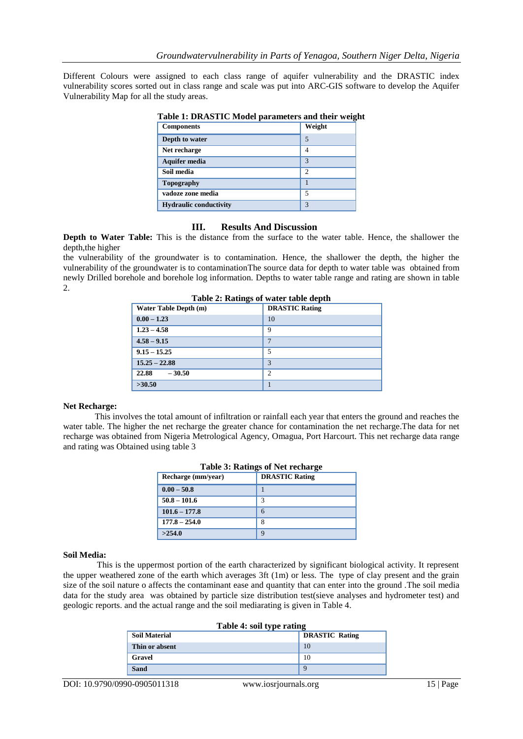Different Colours were assigned to each class range of aquifer vulnerability and the DRASTIC index vulnerability scores sorted out in class range and scale was put into ARC-GIS software to develop the Aquifer Vulnerability Map for all the study areas.

| Table 1: DRASTIC Model parameters and their weigh |                |  |
|---------------------------------------------------|----------------|--|
| <b>Components</b>                                 | Weight         |  |
| Depth to water                                    | 5              |  |
| Net recharge                                      | 4              |  |
| <b>Aquifer media</b>                              | 3              |  |
| Soil media                                        | $\mathfrak{D}$ |  |
| Topography                                        |                |  |
| vadoze zone media                                 | 5              |  |
| <b>Hydraulic conductivity</b>                     | 3              |  |

### **Table 1: DRASTIC Model parameters and their weight**

#### **III. Results And Discussion**

**Depth to Water Table:** This is the distance from the surface to the water table. Hence, the shallower the depth,the higher

the vulnerability of the groundwater is to contamination. Hence, the shallower the depth, the higher the vulnerability of the groundwater is to contaminationThe source data for depth to water table was obtained from newly Drilled borehole and borehole log information. Depths to water table range and rating are shown in table 2.

**Table 2: Ratings of water table depth** 

| Table 2. Kattligs of water table depth |                       |  |
|----------------------------------------|-----------------------|--|
| Water Table Depth (m)                  | <b>DRASTIC Rating</b> |  |
| $0.00 - 1.23$                          | 10                    |  |
| $1.23 - 4.58$                          | 9                     |  |
| $4.58 - 9.15$                          | 7                     |  |
| $9.15 - 15.25$                         | 5                     |  |
| $15.25 - 22.88$                        | 3                     |  |
| 22.88<br>$-30.50$                      | 2                     |  |
| >30.50                                 |                       |  |

#### **Net Recharge:**

This involves the total amount of infiltration or rainfall each year that enters the ground and reaches the water table. The higher the net recharge the greater chance for contamination the net recharge.The data for net recharge was obtained from Nigeria Metrological Agency, Omagua, Port Harcourt. This net recharge data range and rating was Obtained using table 3

| Table 3: Ratings of Net recharge |                       |  |
|----------------------------------|-----------------------|--|
| Recharge (mm/year)               | <b>DRASTIC Rating</b> |  |
| $0.00 - 50.8$                    |                       |  |
| $50.8 - 101.6$                   | 3                     |  |
| $101.6 - 177.8$                  | 6                     |  |
| $177.8 - 254.0$                  | 8                     |  |
| >254.0                           | Q                     |  |

## **Soil Media:**

This is the uppermost portion of the earth characterized by significant biological activity. It represent the upper weathered zone of the earth which averages 3ft (1m) or less. The type of clay present and the grain size of the soil nature o affects the contaminant ease and quantity that can enter into the ground .The soil media data for the study area was obtained by particle size distribution test(sieve analyses and hydrometer test) and geologic reports. and the actual range and the soil mediarating is given in Table 4.

| Table 4: soil type rating |                       |  |
|---------------------------|-----------------------|--|
| <b>Soil Material</b>      | <b>DRASTIC Rating</b> |  |
| Thin or absent            | 10                    |  |
| Gravel                    | 10                    |  |
| <b>Sand</b>               |                       |  |
|                           |                       |  |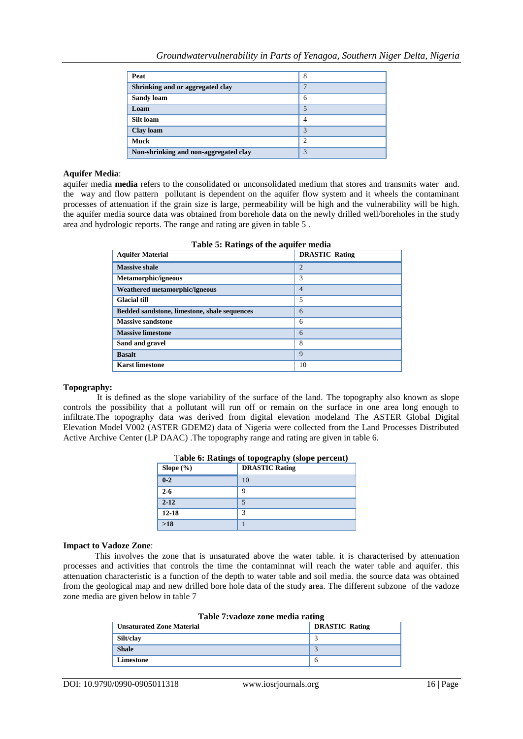| Peat                                  | 8 |
|---------------------------------------|---|
| Shrinking and or aggregated clay      | ⇁ |
| <b>Sandy loam</b>                     | 6 |
| Loam                                  |   |
| Silt loam                             | 4 |
| Clay loam                             | 3 |
| <b>Muck</b>                           | 2 |
| Non-shrinking and non-aggregated clay | 3 |

#### **Aquifer Media**:

aquifer media **media** refers to the consolidated or unconsolidated medium that stores and transmits water and. the way and flow pattern pollutant is dependent on the aquifer flow system and it wheels the contaminant processes of attenuation if the grain size is large, permeability will be high and the vulnerability will be high. the aquifer media source data was obtained from borehole data on the newly drilled well/boreholes in the study area and hydrologic reports. The range and rating are given in table 5 .

| rable 5. Kathles of the aquiter media        |                       |  |
|----------------------------------------------|-----------------------|--|
| <b>Aquifer Material</b>                      | <b>DRASTIC Rating</b> |  |
| <b>Massive shale</b>                         | $\overline{2}$        |  |
| Metamorphic/igneous                          | 3                     |  |
| Weathered metamorphic/igneous                | $\overline{4}$        |  |
| <b>Glacial till</b>                          | 5                     |  |
| Bedded sandstone, limestone, shale sequences | 6                     |  |
| <b>Massive sandstone</b>                     | 6                     |  |
| <b>Massive limestone</b>                     | 6                     |  |
| Sand and gravel                              | 8                     |  |
| <b>Basalt</b>                                | $\mathbf Q$           |  |
| <b>Karst limestone</b>                       | 10                    |  |

#### **Table 5: Ratings of the aquifer media**

#### **Topography:**

It is defined as the slope variability of the surface of the land. The topography also known as slope controls the possibility that a pollutant will run off or remain on the surface in one area long enough to infiltrate.The topography data was derived from digital elevation modeland The ASTER Global Digital Elevation Model V002 (ASTER GDEM2) data of Nigeria were collected from the Land Processes Distributed Active Archive Center (LP DAAC) .The topography range and rating are given in table 6.

| Slope $(\% )$ | <b>DRASTIC Rating</b> |
|---------------|-----------------------|
| $0 - 2$       | 10                    |
| $2 - 6$       | q                     |
| $2 - 12$      |                       |
| $12 - 18$     | 3                     |
| $>18$         |                       |

|  |  | Table 6: Ratings of topography (slope percent) |
|--|--|------------------------------------------------|
|  |  |                                                |

#### **Impact to Vadoze Zone**:

This involves the zone that is unsaturated above the water table. it is characterised by attenuation processes and activities that controls the time the contaminnat will reach the water table and aquifer. this attenuation characteristic is a function of the depth to water table and soil media. the source data was obtained from the geological map and new drilled bore hole data of the study area. The different subzone of the vadoze zone media are given below in table 7

| Table 7: vadoze zone media rating |                       |  |
|-----------------------------------|-----------------------|--|
| <b>Unsaturated Zone Material</b>  | <b>DRASTIC Rating</b> |  |
| Silt/clay                         |                       |  |
| <b>Shale</b>                      |                       |  |
| Limestone                         | 6                     |  |
|                                   |                       |  |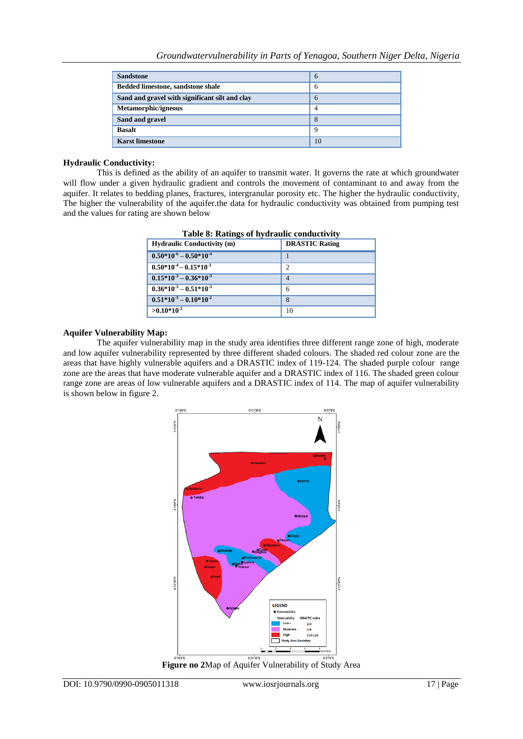| <b>Sandstone</b>                               | 6              |
|------------------------------------------------|----------------|
| <b>Bedded limestone, sandstone shale</b>       | 6              |
| Sand and gravel with significant silt and clay | 6              |
| Metamorphic/igneous                            | $\overline{4}$ |
| Sand and gravel                                | 8              |
| <b>Basalt</b>                                  | 9              |
| <b>Karst limestone</b>                         | 10             |

#### **Hydraulic Conductivity:**

This is defined as the ability of an aquifer to transmit water. It governs the rate at which groundwater will flow under a given hydraulic gradient and controls the movement of contaminant to and away from the aquifer. It relates to bedding planes, fractures, intergranular porosity etc. The higher the hydraulic conductivity, The higher the vulnerability of the aquifer.the data for hydraulic conductivity was obtained from pumping test and the values for rating are shown below

| <b>Hydraulic Conductivity (m)</b> | <b>DRASTIC Rating</b> |
|-----------------------------------|-----------------------|
| $0.50*10^{-6} - 0.50*10^{-4}$     |                       |
| $0.50*10-4 - 0.15*10-3$           | っ                     |
| $0.15*10^{3} - 0.36*10^{3}$       | 4                     |
| $0.36*10-3 - 0.51*10-3$           | 6                     |
| $0.51*103 - 0.10*10-2$            | 8                     |
| $>0.10*10^{-2}$                   | 10                    |

**Table 8: Ratings of hydraulic conductivity** 

#### **Aquifer Vulnerability Map:**

The aquifer vulnerability map in the study area identifies three different range zone of high, moderate and low aquifer vulnerability represented by three different shaded colours. The shaded red colour zone are the areas that have highly vulnerable aquifers and a DRASTIC index of 119-124. The shaded purple colour range zone are the areas that have moderate vulnerable aquifer and a DRASTIC index of 116. The shaded green colour range zone are areas of low vulnerable aquifers and a DRASTIC index of 114. The map of aquifer vulnerability is shown below in figure 2.



**Figure no 2**Map of Aquifer Vulnerability of Study Area